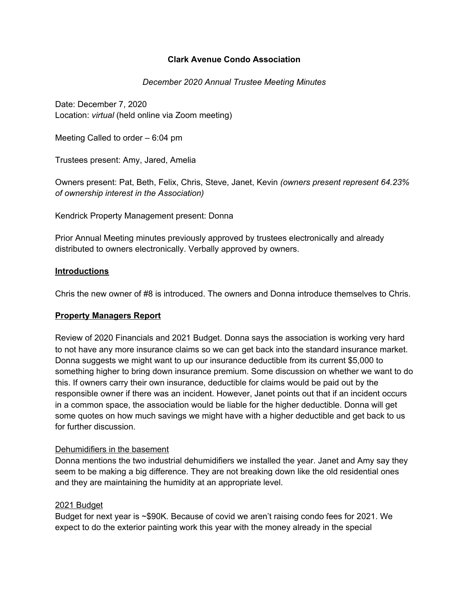## **Clark Avenue Condo Association**

### *December 2020 Annual Trustee Meeting Minutes*

Date: December 7, 2020 Location: *virtual* (held online via Zoom meeting)

Meeting Called to order – 6:04 pm

Trustees present: Amy, Jared, Amelia

Owners present: Pat, Beth, Felix, Chris, Steve, Janet, Kevin *(owners present represent 64.23% of ownership interest in the Association)*

Kendrick Property Management present: Donna

Prior Annual Meeting minutes previously approved by trustees electronically and already distributed to owners electronically. Verbally approved by owners.

### **Introductions**

Chris the new owner of #8 is introduced. The owners and Donna introduce themselves to Chris.

#### **Property Managers Report**

Review of 2020 Financials and 2021 Budget. Donna says the association is working very hard to not have any more insurance claims so we can get back into the standard insurance market. Donna suggests we might want to up our insurance deductible from its current \$5,000 to something higher to bring down insurance premium. Some discussion on whether we want to do this. If owners carry their own insurance, deductible for claims would be paid out by the responsible owner if there was an incident. However, Janet points out that if an incident occurs in a common space, the association would be liable for the higher deductible. Donna will get some quotes on how much savings we might have with a higher deductible and get back to us for further discussion.

#### Dehumidifiers in the basement

Donna mentions the two industrial dehumidifiers we installed the year. Janet and Amy say they seem to be making a big difference. They are not breaking down like the old residential ones and they are maintaining the humidity at an appropriate level.

#### 2021 Budget

Budget for next year is ~\$90K. Because of covid we aren't raising condo fees for 2021. We expect to do the exterior painting work this year with the money already in the special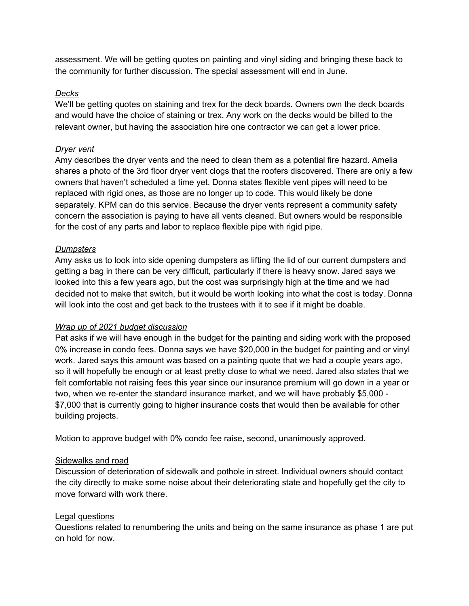assessment. We will be getting quotes on painting and vinyl siding and bringing these back to the community for further discussion. The special assessment will end in June.

# *Decks*

We'll be getting quotes on staining and trex for the deck boards. Owners own the deck boards and would have the choice of staining or trex. Any work on the decks would be billed to the relevant owner, but having the association hire one contractor we can get a lower price.

## *Dryer vent*

Amy describes the dryer vents and the need to clean them as a potential fire hazard. Amelia shares a photo of the 3rd floor dryer vent clogs that the roofers discovered. There are only a few owners that haven't scheduled a time yet. Donna states flexible vent pipes will need to be replaced with rigid ones, as those are no longer up to code. This would likely be done separately. KPM can do this service. Because the dryer vents represent a community safety concern the association is paying to have all vents cleaned. But owners would be responsible for the cost of any parts and labor to replace flexible pipe with rigid pipe.

## *Dumpsters*

Amy asks us to look into side opening dumpsters as lifting the lid of our current dumpsters and getting a bag in there can be very difficult, particularly if there is heavy snow. Jared says we looked into this a few years ago, but the cost was surprisingly high at the time and we had decided not to make that switch, but it would be worth looking into what the cost is today. Donna will look into the cost and get back to the trustees with it to see if it might be doable.

## *Wrap up of 2021 budget discussion*

Pat asks if we will have enough in the budget for the painting and siding work with the proposed 0% increase in condo fees. Donna says we have \$20,000 in the budget for painting and or vinyl work. Jared says this amount was based on a painting quote that we had a couple years ago, so it will hopefully be enough or at least pretty close to what we need. Jared also states that we felt comfortable not raising fees this year since our insurance premium will go down in a year or two, when we re-enter the standard insurance market, and we will have probably \$5,000 - \$7,000 that is currently going to higher insurance costs that would then be available for other building projects.

Motion to approve budget with 0% condo fee raise, second, unanimously approved.

## Sidewalks and road

Discussion of deterioration of sidewalk and pothole in street. Individual owners should contact the city directly to make some noise about their deteriorating state and hopefully get the city to move forward with work there.

# Legal questions

Questions related to renumbering the units and being on the same insurance as phase 1 are put on hold for now.